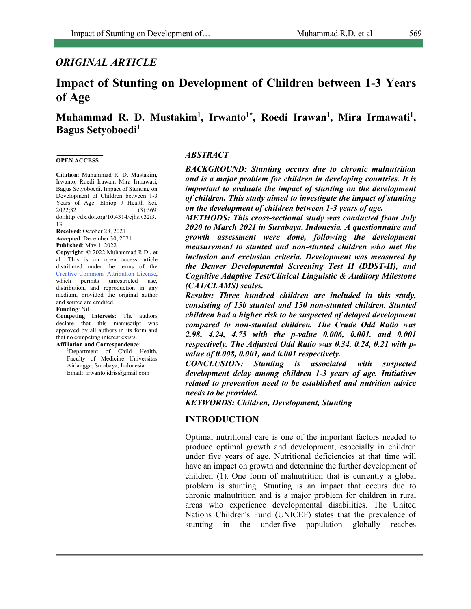# *ORIGINAL ARTICLE*

# **Impact of Stunting on Development of Children between 1-3 Years of Age**

Muhammad R. D. Mustakim<sup>1</sup>, Irwanto<sup>1\*</sup>, Roedi Irawan<sup>1</sup>, Mira Irmawati<sup>1</sup>, **Bagus Setyoboedi1**

#### **OPEN ACCESS**

**Citation**: Muhammad R. D. Mustakim, Irwanto, Roedi Irawan, Mira Irmawati, Bagus Setyoboedi. Impact of Stunting on Development of Children between 1-3 Years of Age. Ethiop J Health Sci. 2022;32 (3):569. doi:http://dx.doi.org/10.4314/ejhs.v32i3. 13

**Received**: October 28, 2021 **Accepted**: December 30, 2021 **Published**: May 1, 2022

**Copyright**: © 2022 Muhammad R.D., et al. This is an open access article distributed under the terms of the Creative Commons Attribution License, which permits unrestricted use, distribution, and reproduction in any medium, provided the original author and source are credited.

#### **Funding**: Nil

**Competing Interests**: The authors declare that this manuscript was approved by all authors in its form and that no competing interest exists.

#### **Affiliation and Correspondence**:

1 Department of Child Health, Faculty of Medicine Universitas Airlangga, Surabaya, Indonesia Email: irwanto.idris@gmail.com

#### *ABSTRACT*

*BACKGROUND: Stunting occurs due to chronic malnutrition and is a major problem for children in developing countries. It is important to evaluate the impact of stunting on the development of children. This study aimed to investigate the impact of stunting on the development of children between 1-3 years of age.* 

*METHODS: This cross-sectional study was conducted from July 2020 to March 2021 in Surabaya, Indonesia. A questionnaire and growth assessment were done, following the development measurement to stunted and non-stunted children who met the inclusion and exclusion criteria. Development was measured by the Denver Developmental Screening Test II (DDST-II), and Cognitive Adaptive Test/Clinical Linguistic & Auditory Milestone (CAT/CLAMS) scales.* 

*Results: Three hundred children are included in this study, consisting of 150 stunted and 150 non-stunted children. Stunted children had a higher risk to be suspected of delayed development compared to non-stunted children. The Crude Odd Ratio was 2.98, 4.24, 4.75 with the p-value 0.006, 0.001. and 0.001 respectively. The Adjusted Odd Ratio was 0.34, 0.24, 0.21 with pvalue of 0.008, 0.001, and 0.001 respectively.* 

*CONCLUSION: Stunting is associated with suspected development delay among children 1-3 years of age. Initiatives related to prevention need to be established and nutrition advice needs to be provided.*

*KEYWORDS: Children, Development, Stunting*

### **INTRODUCTION**

Optimal nutritional care is one of the important factors needed to produce optimal growth and development, especially in children under five years of age. Nutritional deficiencies at that time will have an impact on growth and determine the further development of children (1). One form of malnutrition that is currently a global problem is stunting. Stunting is an impact that occurs due to chronic malnutrition and is a major problem for children in rural areas who experience developmental disabilities. The United Nations Children's Fund (UNICEF) states that the prevalence of stunting in the under-five population globally reaches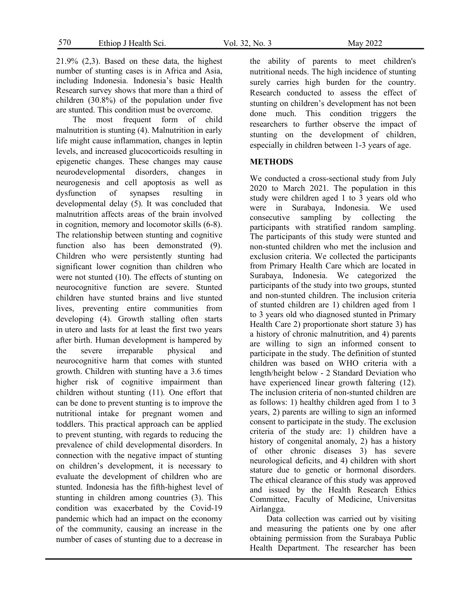21.9% (2,3). Based on these data, the highest number of stunting cases is in Africa and Asia, including Indonesia. Indonesia's basic Health Research survey shows that more than a third of children (30.8%) of the population under five are stunted. This condition must be overcome.

The most frequent form of child malnutrition is stunting (4). Malnutrition in early life might cause inflammation, changes in leptin levels, and increased glucocorticoids resulting in epigenetic changes. These changes may cause neurodevelopmental disorders, changes in neurogenesis and cell apoptosis as well as dysfunction of synapses resulting in developmental delay (5). It was concluded that malnutrition affects areas of the brain involved in cognition, memory and locomotor skills (6-8). The relationship between stunting and cognitive function also has been demonstrated (9). Children who were persistently stunting had significant lower cognition than children who were not stunted (10). The effects of stunting on neurocognitive function are severe. Stunted children have stunted brains and live stunted lives, preventing entire communities from developing (4). Growth stalling often starts in utero and lasts for at least the first two years after birth. Human development is hampered by the severe irreparable physical and neurocognitive harm that comes with stunted growth. Children with stunting have a 3.6 times higher risk of cognitive impairment than children without stunting (11). One effort that can be done to prevent stunting is to improve the nutritional intake for pregnant women and toddlers. This practical approach can be applied to prevent stunting, with regards to reducing the prevalence of child developmental disorders. In connection with the negative impact of stunting on children's development, it is necessary to evaluate the development of children who are stunted. Indonesia has the fifth-highest level of stunting in children among countries (3). This condition was exacerbated by the Covid-19 pandemic which had an impact on the economy of the community, causing an increase in the number of cases of stunting due to a decrease in

the ability of parents to meet children's nutritional needs. The high incidence of stunting surely carries high burden for the country. Research conducted to assess the effect of stunting on children's development has not been done much. This condition triggers the researchers to further observe the impact of stunting on the development of children, especially in children between 1-3 years of age.

#### **METHODS**

We conducted a cross-sectional study from July 2020 to March 2021. The population in this study were children aged 1 to 3 years old who were in Surabaya, Indonesia. We used consecutive sampling by collecting the participants with stratified random sampling. The participants of this study were stunted and non-stunted children who met the inclusion and exclusion criteria. We collected the participants from Primary Health Care which are located in Surabaya, Indonesia. We categorized the participants of the study into two groups, stunted and non-stunted children. The inclusion criteria of stunted children are 1) children aged from 1 to 3 years old who diagnosed stunted in Primary Health Care 2) proportionate short stature 3) has a history of chronic malnutrition, and 4) parents are willing to sign an informed consent to participate in the study. The definition of stunted children was based on WHO criteria with a length/height below - 2 Standard Deviation who have experienced linear growth faltering (12). The inclusion criteria of non-stunted children are as follows: 1) healthy children aged from 1 to 3 years, 2) parents are willing to sign an informed consent to participate in the study. The exclusion criteria of the study are: 1) children have a history of congenital anomaly, 2) has a history of other chronic diseases 3) has severe neurological deficits, and 4) children with short stature due to genetic or hormonal disorders. The ethical clearance of this study was approved and issued by the Health Research Ethics Committee, Faculty of Medicine, Universitas Airlangga.

Data collection was carried out by visiting and measuring the patients one by one after obtaining permission from the Surabaya Public Health Department. The researcher has been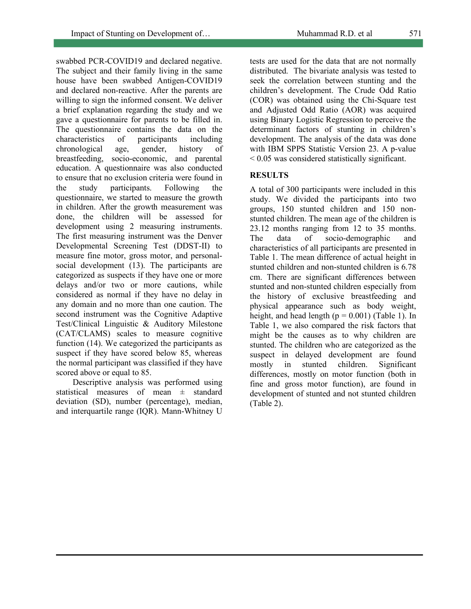swabbed PCR-COVID19 and declared negative. The subject and their family living in the same house have been swabbed Antigen-COVID19 and declared non-reactive. After the parents are willing to sign the informed consent. We deliver a brief explanation regarding the study and we gave a questionnaire for parents to be filled in. The questionnaire contains the data on the characteristics of participants including chronological age, gender, history of breastfeeding, socio-economic, and parental education. A questionnaire was also conducted to ensure that no exclusion criteria were found in the study participants. Following the questionnaire, we started to measure the growth in children. After the growth measurement was done, the children will be assessed for development using 2 measuring instruments. The first measuring instrument was the Denver Developmental Screening Test (DDST-II) to measure fine motor, gross motor, and personalsocial development (13). The participants are categorized as suspects if they have one or more delays and/or two or more cautions, while considered as normal if they have no delay in any domain and no more than one caution. The second instrument was the Cognitive Adaptive Test/Clinical Linguistic & Auditory Milestone (CAT/CLAMS) scales to measure cognitive function (14). We categorized the participants as suspect if they have scored below 85, whereas the normal participant was classified if they have scored above or equal to 85.

Descriptive analysis was performed using statistical measures of mean ± standard deviation (SD), number (percentage), median, and interquartile range (IQR). Mann-Whitney U tests are used for the data that are not normally distributed. The bivariate analysis was tested to seek the correlation between stunting and the children's development. The Crude Odd Ratio (COR) was obtained using the Chi-Square test and Adjusted Odd Ratio (AOR) was acquired using Binary Logistic Regression to perceive the determinant factors of stunting in children's development. The analysis of the data was done with IBM SPPS Statistic Version 23. A p-value  $\leq$  0.05 was considered statistically significant.

## **RESULTS**

A total of 300 participants were included in this study. We divided the participants into two groups, 150 stunted children and 150 nonstunted children. The mean age of the children is 23.12 months ranging from 12 to 35 months. The data of socio-demographic and characteristics of all participants are presented in Table 1. The mean difference of actual height in stunted children and non-stunted children is 6.78 cm. There are significant differences between stunted and non-stunted children especially from the history of exclusive breastfeeding and physical appearance such as body weight, height, and head length  $(p = 0.001)$  (Table 1). In Table 1, we also compared the risk factors that might be the causes as to why children are stunted. The children who are categorized as the suspect in delayed development are found mostly in stunted children. Significant differences, mostly on motor function (both in fine and gross motor function), are found in development of stunted and not stunted children (Table 2).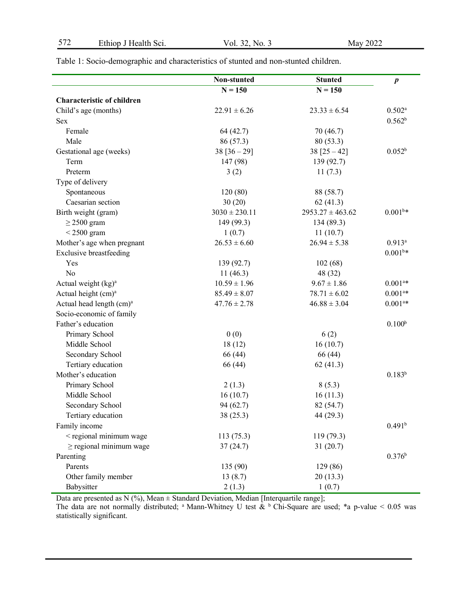|                                      | Non-stunted       | <b>Stunted</b>       | $\boldsymbol{p}$      |
|--------------------------------------|-------------------|----------------------|-----------------------|
|                                      | $N = 150$         | $N = 150$            |                       |
| <b>Characteristic of children</b>    |                   |                      |                       |
| Child's age (months)                 | $22.91 \pm 6.26$  | $23.33 \pm 6.54$     | $0.502^a$             |
| <b>Sex</b>                           |                   |                      | 0.562 <sup>b</sup>    |
| Female                               | 64 (42.7)         | 70 (46.7)            |                       |
| Male                                 | 86 (57.3)         | 80(53.3)             |                       |
| Gestational age (weeks)              | $38 [36 - 29]$    | $38$ [25 - 42]       | $0.052^{b}$           |
| Term                                 | 147 (98)          | 139 (92.7)           |                       |
| Preterm                              | 3(2)              | 11(7.3)              |                       |
| Type of delivery                     |                   |                      |                       |
| Spontaneous                          | 120 (80)          | 88 (58.7)            |                       |
| Caesarian section                    | 30(20)            | 62(41.3)             |                       |
| Birth weight (gram)                  | $3030 \pm 230.11$ | $2953.27 \pm 463.62$ | $0.001^{b*}$          |
| $\geq$ 2500 gram                     | 149 (99.3)        | 134 (89.3)           |                       |
| $<$ 2500 gram                        | 1(0.7)            | 11(10.7)             |                       |
| Mother's age when pregnant           | $26.53 \pm 6.60$  | $26.94 \pm 5.38$     | $0.913^{a}$           |
| <b>Exclusive breastfeeding</b>       |                   |                      | $0.001^{b*}$          |
| Yes                                  | 139 (92.7)        | 102(68)              |                       |
| No                                   | 11(46.3)          | 48 (32)              |                       |
| Actual weight (kg) <sup>a</sup>      | $10.59 \pm 1.96$  | $9.67 \pm 1.86$      | $0.001^{a*}$          |
| Actual height (cm) <sup>a</sup>      | $85.49 \pm 8.07$  | $78.71 \pm 6.02$     | $0.001$ <sup>a*</sup> |
| Actual head length (cm) <sup>a</sup> | $47.76 \pm 2.78$  | $46.88 \pm 3.04$     | $0.001$ <sup>a*</sup> |
| Socio-economic of family             |                   |                      |                       |
| Father's education                   |                   |                      | 0.100 <sup>b</sup>    |
| Primary School                       | 0(0)              | 6(2)                 |                       |
| Middle School                        | 18(12)            | 16(10.7)             |                       |
| Secondary School                     | 66 (44)           | 66 (44)              |                       |
| Tertiary education                   | 66 (44)           | 62(41.3)             |                       |
| Mother's education                   |                   |                      | $0.183^{b}$           |
| Primary School                       | 2(1.3)            | 8(5.3)               |                       |
| Middle School                        | 16(10.7)          | 16(11.3)             |                       |
| Secondary School                     | 94 (62.7)         | 82 (54.7)            |                       |
| Tertiary education                   | 38 (25.3)         | 44 (29.3)            |                       |
| Family income                        |                   |                      | 0.491 <sup>b</sup>    |
| < regional minimum wage              | 113(75.3)         | 119 (79.3)           |                       |
| $\ge$ regional minimum wage          | 37(24.7)          | 31(20.7)             |                       |
| Parenting                            |                   |                      | $0.376^{b}$           |
| Parents                              | 135 (90)          | 129 (86)             |                       |
| Other family member                  | 13(8.7)           | 20(13.3)             |                       |
| Babysitter                           | 2(1.3)            | 1(0.7)               |                       |

Table 1: Socio-demographic and characteristics of stunted and non-stunted children.

Data are presented as N (%), Mean  $\pm$  Standard Deviation, Median [Interquartile range];

The data are not normally distributed; <sup>a</sup> Mann-Whitney U test  $\&b$  Chi-Square are used; \*a p-value < 0.05 was statistically significant.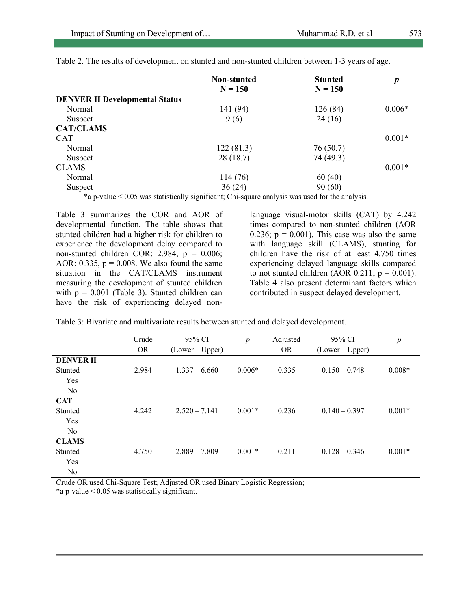|                                       | Non-stunted | <b>Stunted</b> | $\boldsymbol{p}$ |
|---------------------------------------|-------------|----------------|------------------|
|                                       | $N = 150$   | $N = 150$      |                  |
| <b>DENVER II Developmental Status</b> |             |                |                  |
| Normal                                | 141 (94)    | 126(84)        | $0.006*$         |
| Suspect                               | 9(6)        | 24(16)         |                  |
| <b>CAT/CLAMS</b>                      |             |                |                  |
| <b>CAT</b>                            |             |                | $0.001*$         |
| Normal                                | 122(81.3)   | 76(50.7)       |                  |
| Suspect                               | 28(18.7)    | 74 (49.3)      |                  |
| <b>CLAMS</b>                          |             |                | $0.001*$         |
| Normal                                | 114 (76)    | 60(40)         |                  |
| Suspect                               | 36(24)      | 90(60)         |                  |

Table 2. The results of development on stunted and non-stunted children between 1-3 years of age.

\*a p-value < 0.05 was statistically significant; Chi-square analysis was used for the analysis.

Table 3 summarizes the COR and AOR of developmental function. The table shows that stunted children had a higher risk for children to experience the development delay compared to non-stunted children COR: 2.984,  $p = 0.006$ ; AOR:  $0.335$ ,  $p = 0.008$ . We also found the same situation in the CAT/CLAMS instrument measuring the development of stunted children with  $p = 0.001$  (Table 3). Stunted children can have the risk of experiencing delayed nonlanguage visual-motor skills (CAT) by 4.242 times compared to non-stunted children (AOR 0.236;  $p = 0.001$ ). This case was also the same with language skill (CLAMS), stunting for children have the risk of at least 4.750 times experiencing delayed language skills compared to not stunted children (AOR  $0.211$ ;  $p = 0.001$ ). Table 4 also present determinant factors which contributed in suspect delayed development.

Table 3: Bivariate and multivariate results between stunted and delayed development.

|                  | Crude     | 95% CI          | $\boldsymbol{p}$ | Adjusted  | 95% CI          | $\boldsymbol{p}$ |
|------------------|-----------|-----------------|------------------|-----------|-----------------|------------------|
|                  | <b>OR</b> | $(Lower-Upper)$ |                  | <b>OR</b> | $(Lower-Upper)$ |                  |
| <b>DENVER II</b> |           |                 |                  |           |                 |                  |
| Stunted          | 2.984     | $1.337 - 6.660$ | $0.006*$         | 0.335     | $0.150 - 0.748$ | $0.008*$         |
| Yes              |           |                 |                  |           |                 |                  |
| N <sub>0</sub>   |           |                 |                  |           |                 |                  |
| <b>CAT</b>       |           |                 |                  |           |                 |                  |
| Stunted          | 4.242     | $2.520 - 7.141$ | $0.001*$         | 0.236     | $0.140 - 0.397$ | $0.001*$         |
| Yes              |           |                 |                  |           |                 |                  |
| N <sub>0</sub>   |           |                 |                  |           |                 |                  |
| <b>CLAMS</b>     |           |                 |                  |           |                 |                  |
| Stunted          | 4.750     | $2.889 - 7.809$ | $0.001*$         | 0.211     | $0.128 - 0.346$ | $0.001*$         |
| Yes              |           |                 |                  |           |                 |                  |
| No               |           |                 |                  |           |                 |                  |

Crude OR used Chi-Square Test; Adjusted OR used Binary Logistic Regression; \*a p-value < 0.05 was statistically significant.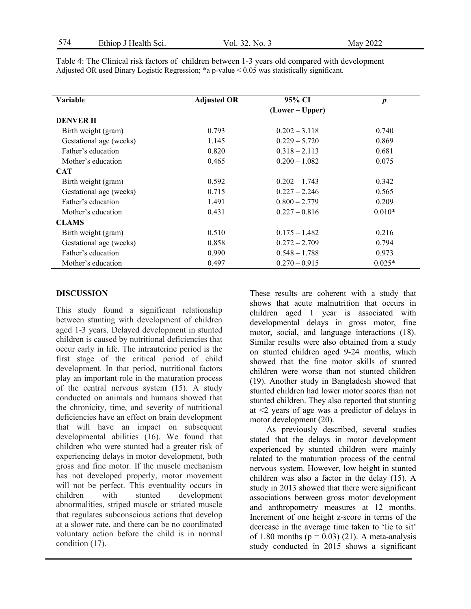| Variable                | <b>Adjusted OR</b> | 95% CI          | $\boldsymbol{p}$ |
|-------------------------|--------------------|-----------------|------------------|
|                         |                    | (Lower – Upper) |                  |
| <b>DENVER II</b>        |                    |                 |                  |
| Birth weight (gram)     | 0.793              | $0.202 - 3.118$ | 0.740            |
| Gestational age (weeks) | 1.145              | $0.229 - 5.720$ | 0.869            |
| Father's education      | 0.820              | $0.318 - 2.113$ | 0.681            |
| Mother's education      | 0.465              | $0.200 - 1.082$ | 0.075            |
| <b>CAT</b>              |                    |                 |                  |
| Birth weight (gram)     | 0.592              | $0.202 - 1.743$ | 0.342            |
| Gestational age (weeks) | 0.715              | $0.227 - 2.246$ | 0.565            |
| Father's education      | 1.491              | $0.800 - 2.779$ | 0.209            |
| Mother's education      | 0.431              | $0.227 - 0.816$ | $0.010*$         |
| <b>CLAMS</b>            |                    |                 |                  |
| Birth weight (gram)     | 0.510              | $0.175 - 1.482$ | 0.216            |
| Gestational age (weeks) | 0.858              | $0.272 - 2.709$ | 0.794            |
| Father's education      | 0.990              | $0.548 - 1.788$ | 0.973            |
| Mother's education      | 0.497              | $0.270 - 0.915$ | $0.025*$         |

Table 4: The Clinical risk factors of children between 1-3 years old compared with development Adjusted OR used Binary Logistic Regression; \*a p-value < 0.05 was statistically significant.

## **DISCUSSION**

This study found a significant relationship between stunting with development of children aged 1-3 years. Delayed development in stunted children is caused by nutritional deficiencies that occur early in life. The intrauterine period is the first stage of the critical period of child development. In that period, nutritional factors play an important role in the maturation process of the central nervous system (15). A study conducted on animals and humans showed that the chronicity, time, and severity of nutritional deficiencies have an effect on brain development that will have an impact on subsequent developmental abilities (16). We found that children who were stunted had a greater risk of experiencing delays in motor development, both gross and fine motor. If the muscle mechanism has not developed properly, motor movement will not be perfect. This eventuality occurs in children with stunted development abnormalities, striped muscle or striated muscle that regulates subconscious actions that develop at a slower rate, and there can be no coordinated voluntary action before the child is in normal condition (17).

These results are coherent with a study that shows that acute malnutrition that occurs in children aged 1 year is associated with developmental delays in gross motor, fine motor, social, and language interactions (18). Similar results were also obtained from a study on stunted children aged 9-24 months, which showed that the fine motor skills of stunted children were worse than not stunted children (19). Another study in Bangladesh showed that stunted children had lower motor scores than not stunted children. They also reported that stunting at <2 years of age was a predictor of delays in motor development (20).

As previously described, several studies stated that the delays in motor development experienced by stunted children were mainly related to the maturation process of the central nervous system. However, low height in stunted children was also a factor in the delay (15). A study in 2013 showed that there were significant associations between gross motor development and anthropometry measures at 12 months. Increment of one height z-score in terms of the decrease in the average time taken to 'lie to sit' of 1.80 months ( $p = 0.03$ ) (21). A meta-analysis study conducted in 2015 shows a significant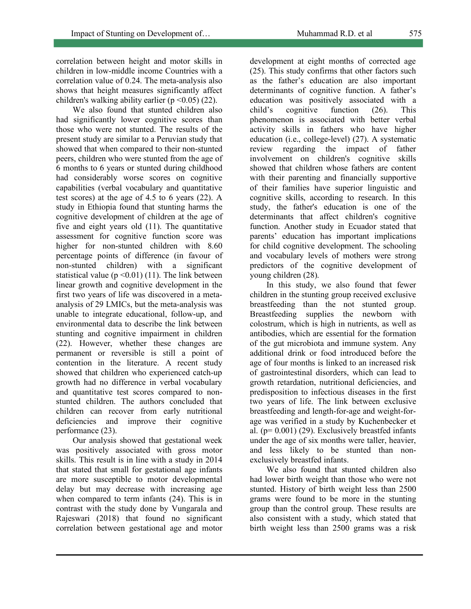correlation between height and motor skills in children in low-middle income Countries with a correlation value of 0.24. The meta-analysis also shows that height measures significantly affect children's walking ability earlier ( $p \le 0.05$ ) (22).

We also found that stunted children also had significantly lower cognitive scores than those who were not stunted. The results of the present study are similar to a Peruvian study that showed that when compared to their non-stunted peers, children who were stunted from the age of 6 months to 6 years or stunted during childhood had considerably worse scores on cognitive capabilities (verbal vocabulary and quantitative test scores) at the age of 4.5 to 6 years (22). A study in Ethiopia found that stunting harms the cognitive development of children at the age of five and eight years old (11). The quantitative assessment for cognitive function score was higher for non-stunted children with 8.60 percentage points of difference (in favour of non-stunted children) with a significant statistical value ( $p \le 0.01$ ) (11). The link between linear growth and cognitive development in the first two years of life was discovered in a metaanalysis of 29 LMICs, but the meta-analysis was unable to integrate educational, follow-up, and environmental data to describe the link between stunting and cognitive impairment in children (22). However, whether these changes are permanent or reversible is still a point of contention in the literature. A recent study showed that children who experienced catch-up growth had no difference in verbal vocabulary and quantitative test scores compared to nonstunted children. The authors concluded that children can recover from early nutritional deficiencies and improve their cognitive performance (23).

Our analysis showed that gestational week was positively associated with gross motor skills. This result is in line with a study in 2014 that stated that small for gestational age infants are more susceptible to motor developmental delay but may decrease with increasing age when compared to term infants (24). This is in contrast with the study done by Vungarala and Rajeswari (2018) that found no significant correlation between gestational age and motor development at eight months of corrected age (25). This study confirms that other factors such as the father's education are also important determinants of cognitive function. A father's education was positively associated with a child's cognitive function (26). This phenomenon is associated with better verbal activity skills in fathers who have higher education (i.e., college-level) (27). A systematic review regarding the impact of father involvement on children's cognitive skills showed that children whose fathers are content with their parenting and financially supportive of their families have superior linguistic and cognitive skills, according to research. In this study, the father's education is one of the determinants that affect children's cognitive function. Another study in Ecuador stated that parents' education has important implications for child cognitive development. The schooling and vocabulary levels of mothers were strong predictors of the cognitive development of young children (28).

In this study, we also found that fewer children in the stunting group received exclusive breastfeeding than the not stunted group. Breastfeeding supplies the newborn with colostrum, which is high in nutrients, as well as antibodies, which are essential for the formation of the gut microbiota and immune system. Any additional drink or food introduced before the age of four months is linked to an increased risk of gastrointestinal disorders, which can lead to growth retardation, nutritional deficiencies, and predisposition to infectious diseases in the first two years of life. The link between exclusive breastfeeding and length-for-age and weight-forage was verified in a study by Kuchenbecker et al. ( $p= 0.001$ ) (29). Exclusively breastfed infants under the age of six months were taller, heavier, and less likely to be stunted than nonexclusively breastfed infants.

We also found that stunted children also had lower birth weight than those who were not stunted. History of birth weight less than 2500 grams were found to be more in the stunting group than the control group. These results are also consistent with a study, which stated that birth weight less than 2500 grams was a risk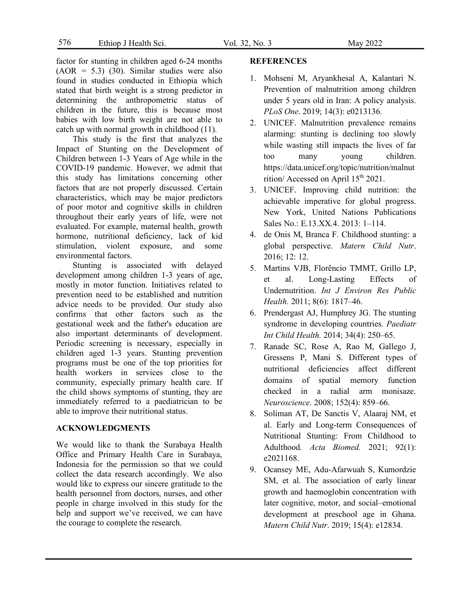factor for stunting in children aged 6-24 months  $(AOR = 5.3)$  (30). Similar studies were also found in studies conducted in Ethiopia which stated that birth weight is a strong predictor in determining the anthropometric status of children in the future, this is because most babies with low birth weight are not able to catch up with normal growth in childhood (11).

This study is the first that analyzes the Impact of Stunting on the Development of Children between 1-3 Years of Age while in the COVID-19 pandemic. However, we admit that this study has limitations concerning other factors that are not properly discussed. Certain characteristics, which may be major predictors of poor motor and cognitive skills in children throughout their early years of life, were not evaluated. For example, maternal health, growth hormone, nutritional deficiency, lack of kid stimulation, violent exposure, and some environmental factors.

Stunting is associated with delayed development among children 1-3 years of age, mostly in motor function. Initiatives related to prevention need to be established and nutrition advice needs to be provided. Our study also confirms that other factors such as the gestational week and the father's education are also important determinants of development. Periodic screening is necessary, especially in children aged 1-3 years. Stunting prevention programs must be one of the top priorities for health workers in services close to the community, especially primary health care. If the child shows symptoms of stunting, they are immediately referred to a paediatrician to be able to improve their nutritional status.

#### **ACKNOWLEDGMENTS**

We would like to thank the Surabaya Health Office and Primary Health Care in Surabaya, Indonesia for the permission so that we could collect the data research accordingly. We also would like to express our sincere gratitude to the health personnel from doctors, nurses, and other people in charge involved in this study for the help and support we've received, we can have the courage to complete the research.

### **REFERENCES**

- 1. Mohseni M, Aryankhesal A, Kalantari N. Prevention of malnutrition among children under 5 years old in Iran: A policy analysis. *PLoS One*. 2019; 14(3): e0213136.
- 2. UNICEF. Malnutrition prevalence remains alarming: stunting is declining too slowly while wasting still impacts the lives of far too many young children. https://data.unicef.org/topic/nutrition/malnut rition/ Accessed on April 15<sup>th</sup> 2021.
- 3. UNICEF. Improving child nutrition: the achievable imperative for global progress. New York, United Nations Publications Sales No.: E.13.XX.4. 2013: 1–114.
- 4. de Onis M, Branca F. Childhood stunting: a global perspective. *Matern Child Nutr*. 2016; 12: 12.
- 5. Martins VJB, Florêncio TMMT, Grillo LP, et al. Long-Lasting Effects of Undernutrition. *Int J Environ Res Public Health.* 2011; 8(6): 1817–46.
- 6. Prendergast AJ, Humphrey JG. The stunting syndrome in developing countries. *Paediatr Int Child Health.* 2014; 34(4): 250–65.
- 7. Ranade SC, Rose A, Rao M, Gallego J, Gressens P, Mani S. Different types of nutritional deficiencies affect different domains of spatial memory function checked in a radial arm monisaze. *Neuroscience*. 2008; 152(4): 859–66.
- 8. Soliman AT, De Sanctis V, Alaaraj NM, et al. Early and Long-term Consequences of Nutritional Stunting: From Childhood to Adulthood. *Acta Biomed.* 2021; 92(1): e2021168.
- 9. Ocansey ME, Adu-Afarwuah S, Kumordzie SM, et al. The association of early linear growth and haemoglobin concentration with later cognitive, motor, and social–emotional development at preschool age in Ghana. *Matern Child Nutr*. 2019; 15(4): e12834.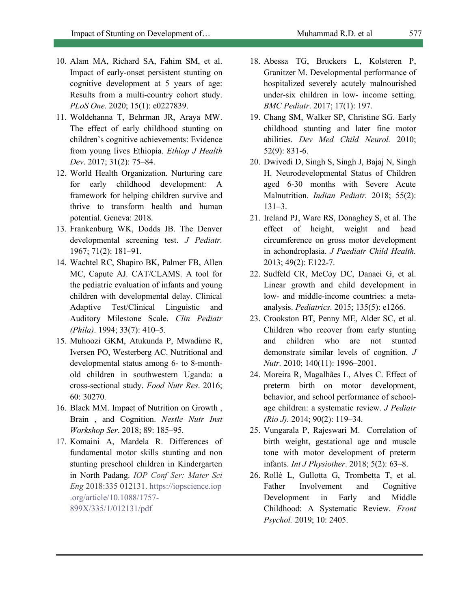- 10. Alam MA, Richard SA, Fahim SM, et al. Impact of early-onset persistent stunting on cognitive development at 5 years of age: Results from a multi-country cohort study. *PLoS One*. 2020; 15(1): e0227839.
- 11. Woldehanna T, Behrman JR, Araya MW. The effect of early childhood stunting on children's cognitive achievements: Evidence from young lives Ethiopia. *Ethiop J Health Dev*. 2017; 31(2): 75–84.
- 12. World Health Organization. Nurturing care for early childhood development: A framework for helping children survive and thrive to transform health and human potential. Geneva: 2018.
- 13. Frankenburg WK, Dodds JB. The Denver developmental screening test. *J Pediatr.* 1967; 71(2): 181–91.
- 14. Wachtel RC, Shapiro BK, Palmer FB, Allen MC, Capute AJ. CAT/CLAMS. A tool for the pediatric evaluation of infants and young children with developmental delay. Clinical Adaptive Test/Clinical Linguistic and Auditory Milestone Scale. *Clin Pediatr (Phila)*. 1994; 33(7): 410–5.
- 15. Muhoozi GKM, Atukunda P, Mwadime R, Iversen PO, Westerberg AC. Nutritional and developmental status among 6- to 8-monthold children in southwestern Uganda: a cross-sectional study. *Food Nutr Res*. 2016; 60: 30270.
- 16. Black MM. Impact of Nutrition on Growth , Brain , and Cognition. *Nestle Nutr Inst Workshop Ser*. 2018; 89: 185–95.
- 17. Komaini A, Mardela R. Differences of fundamental motor skills stunting and non stunting preschool children in Kindergarten in North Padang. *IOP Conf Ser: Mater Sci Eng* 2018:335 012131. https://iopscience.iop .org/article/10.1088/1757- 899X/335/1/012131/pdf
- 18. Abessa TG, Bruckers L, Kolsteren P, Granitzer M. Developmental performance of hospitalized severely acutely malnourished under-six children in low- income setting. *BMC Pediatr*. 2017; 17(1): 197.
- 19. Chang SM, Walker SP, Christine SG. Early childhood stunting and later fine motor abilities. *Dev Med Child Neurol.* 2010; 52(9): 831-6.
- 20. Dwivedi D, Singh S, Singh J, Bajaj N, Singh H. Neurodevelopmental Status of Children aged 6-30 months with Severe Acute Malnutrition. *Indian Pediatr.* 2018; 55(2): 131–3.
- 21. Ireland PJ, Ware RS, Donaghey S, et al. The effect of height, weight and head circumference on gross motor development in achondroplasia. *J Paediatr Child Health.* 2013; 49(2): E122-7.
- 22. Sudfeld CR, McCoy DC, Danaei G, et al. Linear growth and child development in low- and middle-income countries: a metaanalysis. *Pediatrics*. 2015; 135(5): e1266.
- 23. Crookston BT, Penny ME, Alder SC, et al. Children who recover from early stunting and children who are not stunted demonstrate similar levels of cognition. *J Nutr.* 2010; 140(11): 1996–2001.
- 24. Moreira R, Magalhães L, Alves C. Effect of preterm birth on motor development, behavior, and school performance of schoolage children: a systematic review. *J Pediatr (Rio J).* 2014; 90(2): 119–34.
- 25. Vungarala P, Rajeswari M. Correlation of birth weight, gestational age and muscle tone with motor development of preterm infants. *Int J Physiother*. 2018; 5(2): 63–8.
- 26. Rollè L, Gullotta G, Trombetta T, et al. Father Involvement and Cognitive Development in Early and Middle Childhood: A Systematic Review. *Front Psychol.* 2019; 10: 2405.